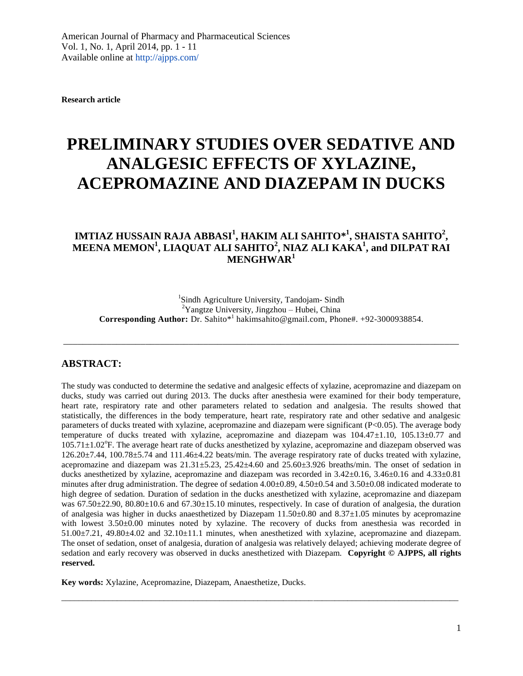**Research article**

# **PRELIMINARY STUDIES OVER SEDATIVE AND ANALGESIC EFFECTS OF XYLAZINE, ACEPROMAZINE AND DIAZEPAM IN DUCKS**

## $\textbf{IMTIAZ HUSSAIN RAJA ABBASI}^1, \textbf{HAKIM ALL SAHITO}^{*1}, \textbf{SHAISTA SAHITO}^2,$ **MEENA MEMON<sup>1</sup> , LIAQUAT ALI SAHITO<sup>2</sup> , NIAZ ALI KAKA<sup>1</sup> , and DILPAT RAI MENGHWAR<sup>1</sup>**

<sup>1</sup>Sindh Agriculture University, Tandojam-Sindh <sup>2</sup>Yangtze University, Jingzhou – Hubei, China Corresponding Author: Dr. Sahito\*<sup>1</sup> [hakimsahito@gmail.com,](mailto:hakimsahito@gmail.com) Phone#. +92-3000938854.

\_\_\_\_\_\_\_\_\_\_\_\_\_\_\_\_\_\_\_\_\_\_\_\_\_\_\_\_\_\_\_\_\_\_\_\_\_\_\_\_\_\_\_\_\_\_\_\_\_\_\_\_\_\_\_\_\_\_\_\_\_\_\_\_\_\_\_\_\_\_\_\_\_\_\_\_\_\_\_\_\_\_

#### **ABSTRACT:**

The study was conducted to determine the sedative and analgesic effects of xylazine, acepromazine and diazepam on ducks, study was carried out during 2013. The ducks after anesthesia were examined for their body temperature, heart rate, respiratory rate and other parameters related to sedation and analgesia. The results showed that statistically, the differences in the body temperature, heart rate, respiratory rate and other sedative and analgesic parameters of ducks treated with xylazine, acepromazine and diazepam were significant (P<0.05). The average body temperature of ducks treated with xylazine, acepromazine and diazepam was  $104.47\pm1.10$ ,  $105.13\pm0.77$  and 105.71±1.02°F. The average heart rate of ducks anesthetized by xylazine, acepromazine and diazepam observed was 126.20±7.44, 100.78±5.74 and 111.46±4.22 beats/min. The average respiratory rate of ducks treated with xylazine, acepromazine and diazepam was  $21.31\pm5.23$ ,  $25.42\pm4.60$  and  $25.60\pm3.926$  breaths/min. The onset of sedation in ducks anesthetized by xylazine, acepromazine and diazepam was recorded in 3.42±0.16, 3.46±0.16 and 4.33±0.81 minutes after drug administration. The degree of sedation  $4.00\pm0.89$ ,  $4.50\pm0.54$  and  $3.50\pm0.08$  indicated moderate to high degree of sedation. Duration of sedation in the ducks anesthetized with xylazine, acepromazine and diazepam was  $67.50\pm22.90$ ,  $80.80\pm10.6$  and  $67.30\pm15.10$  minutes, respectively. In case of duration of analgesia, the duration of analgesia was higher in ducks anaesthetized by Diazepam 11.50±0.80 and 8.37±1.05 minutes by acepromazine with lowest  $3.50\pm0.00$  minutes noted by xylazine. The recovery of ducks from anesthesia was recorded in  $51.00\pm7.21$ ,  $49.80\pm4.02$  and  $32.10\pm11.1$  minutes, when anesthetized with xylazine, acepromazine and diazepam. The onset of sedation, onset of analgesia, duration of analgesia was relatively delayed; achieving moderate degree of sedation and early recovery was observed in ducks anesthetized with Diazepam. **Copyright © AJPPS, all rights reserved.** 

 $\overline{a_1}$  ,  $\overline{a_2}$  ,  $\overline{a_3}$  ,  $\overline{a_4}$  ,  $\overline{a_5}$  ,  $\overline{a_6}$  ,  $\overline{a_7}$  ,  $\overline{a_8}$  ,  $\overline{a_9}$  ,  $\overline{a_9}$  ,  $\overline{a_9}$  ,  $\overline{a_9}$  ,  $\overline{a_9}$  ,  $\overline{a_9}$  ,  $\overline{a_9}$  ,  $\overline{a_9}$  ,  $\overline{a_9}$  ,

**Key words:** Xylazine, Acepromazine, Diazepam, Anaesthetize, Ducks.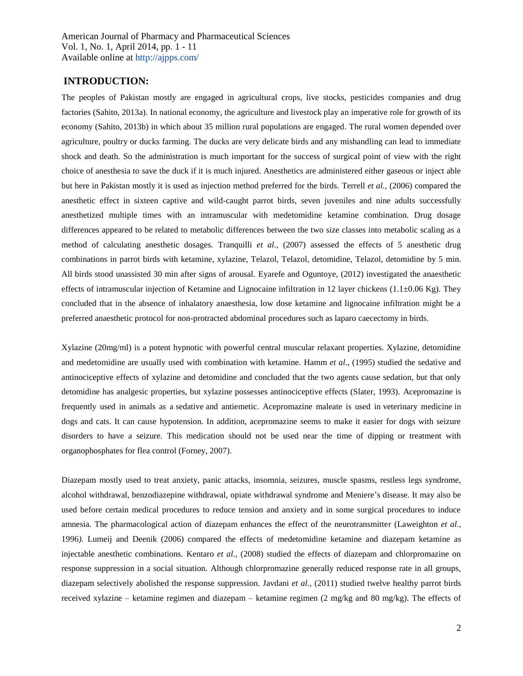#### **INTRODUCTION:**

The peoples of Pakistan mostly are engaged in agricultural crops, live stocks, pesticides companies and drug factories (Sahito, 2013a). In national economy, the agriculture and livestock play an imperative role for growth of its economy (Sahito, 2013b) in which about 35 million rural populations are engaged. The rural women depended over agriculture, poultry or ducks farming. The ducks are very delicate birds and any mishandling can lead to immediate shock and death. So the administration is much important for the success of surgical point of view with the right choice of anesthesia to save the duck if it is much injured. Anesthetics are administered either gaseous or inject able but here in Pakistan mostly it is used as injection method preferred for the birds. Terrell *et al.,* (2006) compared the anesthetic effect in sixteen captive and wild-caught parrot birds, seven juveniles and nine adults successfully anesthetized multiple times with an intramuscular with medetomidine ketamine combination. Drug dosage differences appeared to be related to metabolic differences between the two size classes into metabolic scaling as a method of calculating anesthetic dosages. Tranquilli *et al.,* (2007) assessed the effects of 5 anesthetic drug combinations in parrot birds with ketamine, xylazine, Telazol, Telazol, detomidine, Telazol, detomidine by 5 min. All birds stood unassisted 30 min after signs of arousal. Eyarefe and Oguntoye, (2012) investigated the anaesthetic effects of intramuscular injection of Ketamine and Lignocaine infiltration in 12 layer chickens (1.1±0.06 Kg). They concluded that in the absence of inhalatory anaesthesia, low dose ketamine and lignocaine infiltration might be a preferred anaesthetic protocol for non-protracted abdominal procedures such as laparo caecectomy in birds.

Xylazine (20mg/ml) is a potent hypnotic with powerful central muscular relaxant properties. Xylazine, detomidine and medetomidine are usually used with combination with ketamine. Hamm *et al*., (1995) studied the sedative and antinociceptive effects of xylazine and detomidine and concluded that the two agents cause sedation, but that only detomidine has analgesic properties, but xylazine possesses antinociceptive effects (Slater, 1993). Acepromazine is frequently used in animals as a sedative and antiemetic. Acepromazine maleate is used in veterinary medicine in dogs and cats. It can cause hypotension. In addition, acepromazine seems to make it easier for dogs with seizure disorders to have a seizure. This medication should not be used near the time of dipping or treatment with organophosphates for flea control (Forney, 2007).

Diazepam mostly used to treat anxiety, panic attacks, insomnia, seizures, muscle spasms, restless legs syndrome, alcohol withdrawal, benzodiazepine withdrawal, opiate withdrawal syndrome and Meniere's disease. It may also be used before certain medical procedures to reduce tension and anxiety and in some surgical procedures to induce amnesia. The pharmacological action of diazepam enhances the effect of the neurotransmitter (Laweighton *et al.,*  1996*)*. Lumeij and Deenik (2006) compared the effects of medetomidine ketamine and diazepam ketamine as injectable anesthetic combinations. Kentaro *et al.,* (2008) studied the effects of diazepam and chlorpromazine on response suppression in a social situation. Although chlorpromazine generally reduced response rate in all groups, diazepam selectively abolished the response suppression. Javdani *et al.,* (2011) studied twelve healthy parrot birds received xylazine – ketamine regimen and diazepam – ketamine regimen (2 mg/kg and 80 mg/kg). The effects of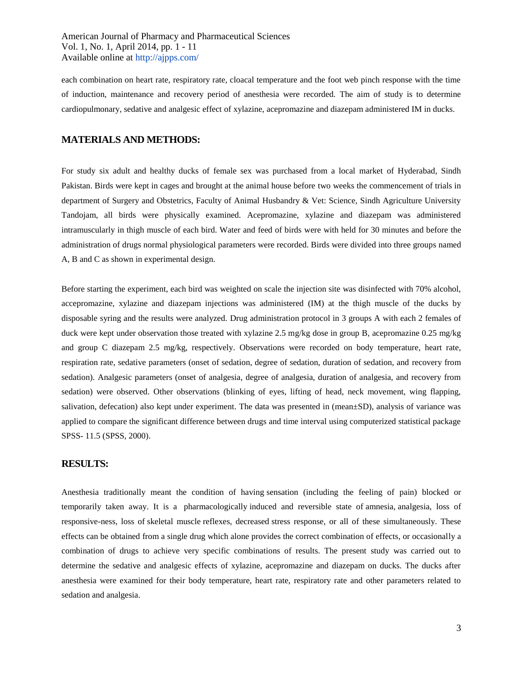each combination on heart rate, respiratory rate, cloacal temperature and the foot web pinch response with the time of induction, maintenance and recovery period of anesthesia were recorded. The aim of study is to determine cardiopulmonary, sedative and analgesic effect of xylazine, acepromazine and diazepam administered IM in ducks.

#### **MATERIALS AND METHODS:**

For study six adult and healthy ducks of female sex was purchased from a local market of Hyderabad, Sindh Pakistan. Birds were kept in cages and brought at the animal house before two weeks the commencement of trials in department of Surgery and Obstetrics, Faculty of Animal Husbandry & Vet: Science, Sindh Agriculture University Tandojam, all birds were physically examined. Acepromazine, xylazine and diazepam was administered intramuscularly in thigh muscle of each bird. Water and feed of birds were with held for 30 minutes and before the administration of drugs normal physiological parameters were recorded. Birds were divided into three groups named A, B and C as shown in experimental design.

Before starting the experiment, each bird was weighted on scale the injection site was disinfected with 70% alcohol, accepromazine, xylazine and diazepam injections was administered (IM) at the thigh muscle of the ducks by disposable syring and the results were analyzed. Drug administration protocol in 3 groups A with each 2 females of duck were kept under observation those treated with xylazine 2.5 mg/kg dose in group B, acepromazine 0.25 mg/kg and group C diazepam 2.5 mg/kg, respectively. Observations were recorded on body temperature, heart rate, respiration rate, sedative parameters (onset of sedation, degree of sedation, duration of sedation, and recovery from sedation). Analgesic parameters (onset of analgesia, degree of analgesia, duration of analgesia, and recovery from sedation) were observed. Other observations (blinking of eyes, lifting of head, neck movement, wing flapping, salivation, defecation) also kept under experiment. The data was presented in (mean±SD), analysis of variance was applied to compare the significant difference between drugs and time interval using computerized statistical package SPSS- 11.5 (SPSS, 2000).

#### **RESULTS:**

Anesthesia traditionally meant the condition of having [sensation](http://en.wiktionary.org/wiki/sensation) (including the feeling of [pain\)](http://en.wikipedia.org/wiki/Pain) blocked or temporarily taken away. It is a [pharmacologically](http://en.wikipedia.org/wiki/Pharmacology) induced and reversible state of [amnesia,](http://en.wikipedia.org/wiki/Amnesia) [analgesia,](http://en.wikipedia.org/wiki/Analgesic) loss of responsive-ness, loss of [skeletal muscle](http://en.wikipedia.org/wiki/Skeletal_muscle) [reflexes,](http://en.wikipedia.org/wiki/Reflexes) decreased [stress response,](http://en.wikipedia.org/wiki/Fight-or-flight_response) or all of these simultaneously. These effects can be obtained from a single drug which alone provides the correct combination of effects, or occasionally a combination of drugs to achieve very specific combinations of results. The present study was carried out to determine the sedative and analgesic effects of xylazine, acepromazine and diazepam on ducks. The ducks after anesthesia were examined for their body temperature, heart rate, respiratory rate and other parameters related to sedation and analgesia.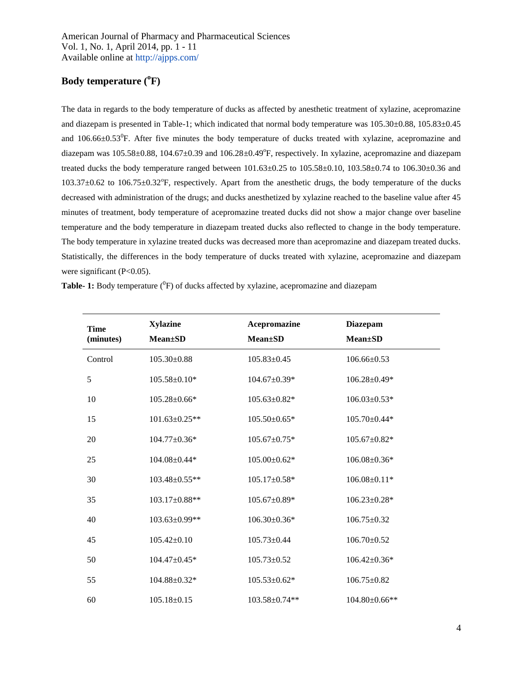## **Body temperature (<sup>o</sup> F)**

The data in regards to the body temperature of ducks as affected by anesthetic treatment of xylazine, acepromazine and diazepam is presented in Table-1; which indicated that normal body temperature was 105.30±0.88, 105.83±0.45 and  $106.66 \pm 0.53$ <sup>0</sup>F. After five minutes the body temperature of ducks treated with xylazine, acepromazine and diazepam was  $105.58\pm0.88$ ,  $104.67\pm0.39$  and  $106.28\pm0.49^{\circ}$ F, respectively. In xylazine, acepromazine and diazepam treated ducks the body temperature ranged between 101.63±0.25 to 105.58±0.10, 103.58±0.74 to 106.30±0.36 and 103.37±0.62 to 106.75±0.32°F, respectively. Apart from the anesthetic drugs, the body temperature of the ducks decreased with administration of the drugs; and ducks anesthetized by xylazine reached to the baseline value after 45 minutes of treatment, body temperature of acepromazine treated ducks did not show a major change over baseline temperature and the body temperature in diazepam treated ducks also reflected to change in the body temperature. The body temperature in xylazine treated ducks was decreased more than acepromazine and diazepam treated ducks. Statistically, the differences in the body temperature of ducks treated with xylazine, acepromazine and diazepam were significant (P<0.05).

| <b>Time</b><br>(minutes) | <b>Xylazine</b><br><b>Mean±SD</b> | Acepromazine<br><b>Mean±SD</b> | <b>Diazepam</b><br><b>Mean</b> ±SD |
|--------------------------|-----------------------------------|--------------------------------|------------------------------------|
| Control                  | $105.30 \pm 0.88$                 | $105.83 \pm 0.45$              | $106.66 \pm 0.53$                  |
| 5                        | $105.58 \pm 0.10*$                | $104.67 \pm 0.39*$             | $106.28 \pm 0.49*$                 |
| 10                       | 105.28±0.66*                      | $105.63 \pm 0.82*$             | $106.03 \pm 0.53*$                 |
| 15                       | $101.63 \pm 0.25**$               | $105.50\pm0.65*$               | $105.70 \pm 0.44*$                 |
| 20                       | $104.77 \pm 0.36*$                | $105.67 \pm 0.75*$             | $105.67 \pm 0.82*$                 |
| 25                       | $104.08 \pm 0.44*$                | $105.00\pm0.62*$               | $106.08 \pm 0.36*$                 |
| 30                       | 103.48±0.55**                     | $105.17 \pm 0.58*$             | $106.08 \pm 0.11*$                 |
| 35                       | $103.17 \pm 0.88**$               | $105.67 \pm 0.89*$             | $106.23 \pm 0.28*$                 |
| 40                       | 103.63±0.99**                     | $106.30\pm0.36*$               | $106.75 \pm 0.32$                  |
| 45                       | $105.42 \pm 0.10$                 | $105.73 \pm 0.44$              | $106.70 \pm 0.52$                  |
| 50                       | 104.47±0.45*                      | $105.73 \pm 0.52$              | $106.42 \pm 0.36*$                 |
| 55                       | $104.88 \pm 0.32*$                | $105.53 \pm 0.62*$             | $106.75 \pm 0.82$                  |
| 60                       | $105.18 \pm 0.15$                 | 103.58±0.74**                  | 104.80±0.66**                      |

| <b>Table- 1:</b> Body temperature ( ${}^{0}F$ ) of ducks affected by xylazine, acepromazine and diazepam |  |  |  |
|----------------------------------------------------------------------------------------------------------|--|--|--|
|----------------------------------------------------------------------------------------------------------|--|--|--|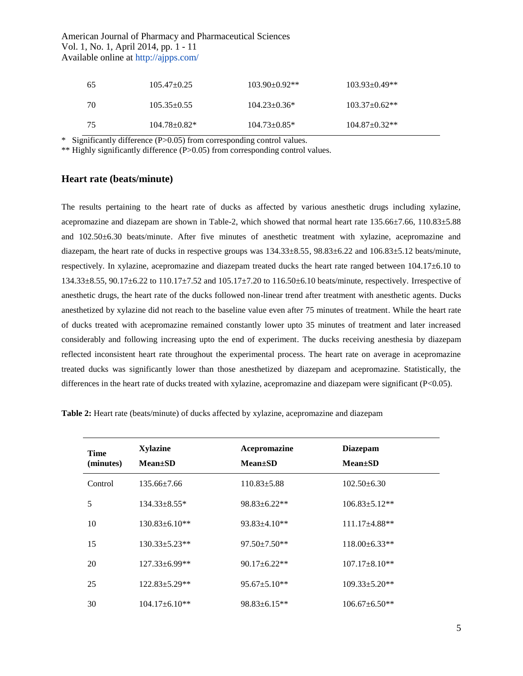| 65 | $105.47 \pm 0.25$ | $103.90+0.92**$     | $103.93 \pm 0.49**$ |
|----|-------------------|---------------------|---------------------|
| 70 | $105.35 \pm 0.55$ | $104.23 \pm 0.36^*$ | $103.37+0.62**$     |
| 75 | $104.78 + 0.82*$  | $104.73 \pm 0.85$ * | $104.87 \pm 0.32**$ |

\* Significantly difference (P>0.05) from corresponding control values.

\*\* Highly significantly difference (P>0.05) from corresponding control values.

#### **Heart rate (beats/minute)**

The results pertaining to the heart rate of ducks as affected by various anesthetic drugs including xylazine, acepromazine and diazepam are shown in Table-2, which showed that normal heart rate 135.66±7.66, 110.83±5.88 and 102.50±6.30 beats/minute. After five minutes of anesthetic treatment with xylazine, acepromazine and diazepam, the heart rate of ducks in respective groups was  $134.33\pm8.55$ ,  $98.83\pm6.22$  and  $106.83\pm5.12$  beats/minute, respectively. In xylazine, acepromazine and diazepam treated ducks the heart rate ranged between 104.17±6.10 to 134.33±8.55, 90.17±6.22 to 110.17±7.52 and 105.17±7.20 to 116.50±6.10 beats/minute, respectively. Irrespective of anesthetic drugs, the heart rate of the ducks followed non-linear trend after treatment with anesthetic agents. Ducks anesthetized by xylazine did not reach to the baseline value even after 75 minutes of treatment. While the heart rate of ducks treated with acepromazine remained constantly lower upto 35 minutes of treatment and later increased considerably and following increasing upto the end of experiment. The ducks receiving anesthesia by diazepam reflected inconsistent heart rate throughout the experimental process. The heart rate on average in acepromazine treated ducks was significantly lower than those anesthetized by diazepam and acepromazine. Statistically, the differences in the heart rate of ducks treated with xylazine, acepromazine and diazepam were significant (P<0.05).

| <b>Time</b><br>(minutes) | <b>Xylazine</b><br>$Mean \pm SD$ | Acepromazine<br>$Mean \pm SD$ | <b>Diazepam</b><br>$Mean \pm SD$ |
|--------------------------|----------------------------------|-------------------------------|----------------------------------|
| Control                  | $135.66 \pm 7.66$                | $110.83 \pm 5.88$             | $102.50 \pm 6.30$                |
| 5                        | $134.33 \pm 8.55*$               | $98.83 \pm 6.22**$            | $106.83 \pm 5.12**$              |
| 10                       | $130.83 \pm 6.10**$              | $93.83 \pm 4.10**$            | $111.17\pm4.88**$                |
| 15                       | $130.33 \pm 5.23**$              | $97.50 \pm 7.50$ **           | $118.00\pm 6.33**$               |
| 20                       | $127.33 \pm 6.99**$              | $90.17 \pm 6.22**$            | $107.17 \pm 8.10**$              |
| 25                       | $122.83 \pm 5.29**$              | $95.67 \pm 5.10**$            | $109.33 \pm 5.20**$              |
| 30                       | $104.17\pm 6.10**$               | $98.83 \pm 6.15**$            | $106.67 \pm 6.50**$              |

**Table 2:** Heart rate (beats/minute) of ducks affected by xylazine, acepromazine and diazepam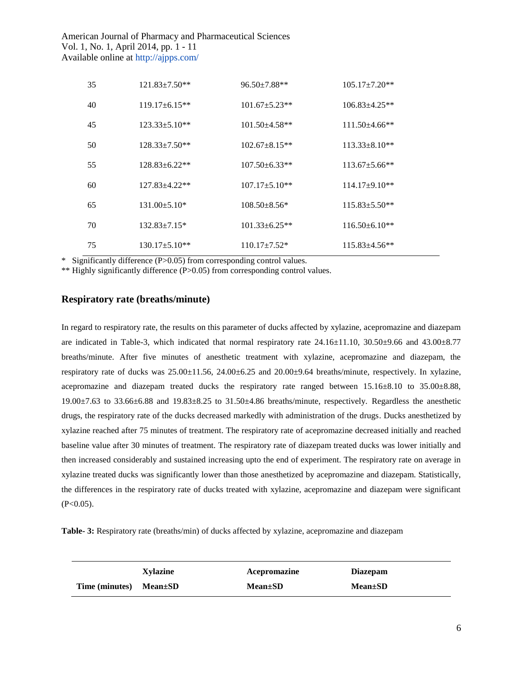| 35 | $121.83 \pm 7.50**$ | $96.50 \pm 7.88$ ** | $105.17 \pm 7.20**$  |
|----|---------------------|---------------------|----------------------|
| 40 | $119.17 + 6.15**$   | $101.67 + 5.23**$   | $106.83 + 4.25**$    |
| 45 | $123.33 \pm 5.10**$ | $101.50 + 4.58$ **  | $111.50\pm4.66**$    |
| 50 | $128.33 + 7.50**$   | $102.67 + 8.15**$   | $113.33 + 8.10**$    |
| 55 | $128.83 + 6.22**$   | $107.50 \pm 6.33**$ | $113.67 \pm 5.66$ ** |
| 60 | $127.83 + 4.22**$   | $107.17 \pm 5.10**$ | $114.17\pm9.10**$    |
| 65 | $131.00 \pm 5.10*$  | $108.50 + 8.56*$    | $115.83 + 5.50**$    |
| 70 | $132.83 \pm 7.15*$  | $101.33 + 6.25**$   | $116.50\pm 6.10**$   |
| 75 | $130.17 + 5.10**$   | $110.17 + 7.52*$    | $115.83 + 4.56**$    |

\* Significantly difference (P>0.05) from corresponding control values.

\*\* Highly significantly difference (P>0.05) from corresponding control values.

#### **Respiratory rate (breaths/minute)**

In regard to respiratory rate, the results on this parameter of ducks affected by xylazine, acepromazine and diazepam are indicated in Table-3, which indicated that normal respiratory rate 24.16±11.10, 30.50±9.66 and 43.00±8.77 breaths/minute. After five minutes of anesthetic treatment with xylazine, acepromazine and diazepam, the respiratory rate of ducks was 25.00±11.56, 24.00±6.25 and 20.00±9.64 breaths/minute, respectively. In xylazine, acepromazine and diazepam treated ducks the respiratory rate ranged between 15.16±8.10 to 35.00±8.88,  $19.00\pm7.63$  to  $33.66\pm6.88$  and  $19.83\pm8.25$  to  $31.50\pm4.86$  breaths/minute, respectively. Regardless the anesthetic drugs, the respiratory rate of the ducks decreased markedly with administration of the drugs. Ducks anesthetized by xylazine reached after 75 minutes of treatment. The respiratory rate of acepromazine decreased initially and reached baseline value after 30 minutes of treatment. The respiratory rate of diazepam treated ducks was lower initially and then increased considerably and sustained increasing upto the end of experiment. The respiratory rate on average in xylazine treated ducks was significantly lower than those anesthetized by acepromazine and diazepam. Statistically, the differences in the respiratory rate of ducks treated with xylazine, acepromazine and diazepam were significant  $(P<0.05)$ .

**Table- 3:** Respiratory rate (breaths/min) of ducks affected by xylazine, acepromazine and diazepam

|                              | Xylazine | Acepromazine  | <b>Diazepam</b> |
|------------------------------|----------|---------------|-----------------|
| Time (minutes) $Mean \pm SD$ |          | $Mean \pm SD$ | $Mean \pm SD$   |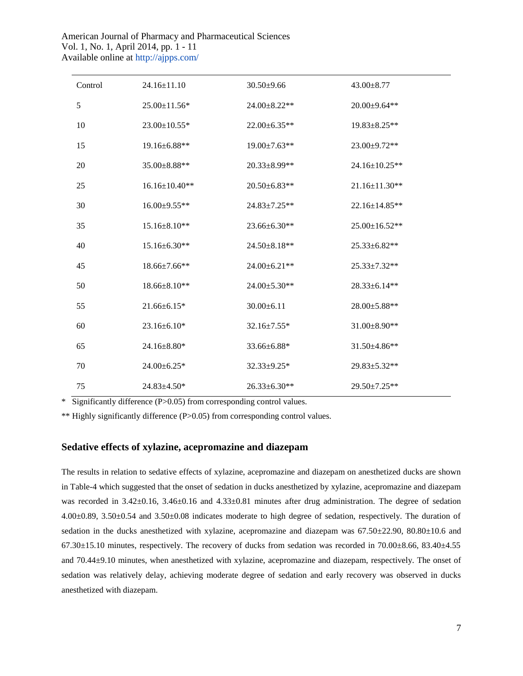| Control | $24.16 \pm 11.10$   | $30.50 \pm 9.66$    | $43.00 \pm 8.77$    |
|---------|---------------------|---------------------|---------------------|
| 5       | 25.00±11.56*        | 24.00±8.22**        | 20.00±9.64**        |
| 10      | 23.00±10.55*        | $22.00 \pm 6.35**$  | $19.83 \pm 8.25**$  |
| 15      | $19.16 \pm 6.88**$  | $19.00 \pm 7.63$ ** | 23.00±9.72**        |
| 20      | 35.00±8.88**        | 20.33±8.99**        | 24.16±10.25**       |
| 25      | $16.16 \pm 10.40**$ | $20.50 \pm 6.83**$  | $21.16 \pm 11.30**$ |
| 30      | $16.00 \pm 9.55**$  | $24.83 \pm 7.25**$  | $22.16 \pm 14.85**$ |
| 35      | $15.16 \pm 8.10**$  | 23.66±6.30**        | 25.00±16.52**       |
| 40      | $15.16 \pm 6.30**$  | 24.50±8.18**        | 25.33±6.82**        |
| 45      | 18.66±7.66**        | 24.00±6.21**        | 25.33±7.32**        |
| 50      | 18.66±8.10**        | 24.00±5.30**        | 28.33±6.14**        |
| 55      | $21.66 \pm 6.15*$   | $30.00 \pm 6.11$    | 28.00±5.88**        |
| 60      | 23.16±6.10*         | $32.16 \pm 7.55*$   | $31.00 \pm 8.90**$  |
| 65      | $24.16 \pm 8.80*$   | 33.66±6.88*         | $31.50 \pm 4.86$ ** |
| 70      | 24.00±6.25*         | 32.33±9.25*         | 29.83±5.32**        |
| 75      | 24.83±4.50*         | 26.33±6.30**        | 29.50±7.25**        |

\* Significantly difference (P>0.05) from corresponding control values.

\*\* Highly significantly difference (P>0.05) from corresponding control values.

### **Sedative effects of xylazine, acepromazine and diazepam**

The results in relation to sedative effects of xylazine, acepromazine and diazepam on anesthetized ducks are shown in Table-4 which suggested that the onset of sedation in ducks anesthetized by xylazine, acepromazine and diazepam was recorded in  $3.42\pm0.16$ ,  $3.46\pm0.16$  and  $4.33\pm0.81$  minutes after drug administration. The degree of sedation 4.00±0.89, 3.50±0.54 and 3.50±0.08 indicates moderate to high degree of sedation, respectively. The duration of sedation in the ducks anesthetized with xylazine, acepromazine and diazepam was 67.50±22.90, 80.80±10.6 and  $67.30\pm15.10$  minutes, respectively. The recovery of ducks from sedation was recorded in  $70.00\pm8.66$ ,  $83.40\pm4.55$ and 70.44±9.10 minutes, when anesthetized with xylazine, acepromazine and diazepam, respectively. The onset of sedation was relatively delay, achieving moderate degree of sedation and early recovery was observed in ducks anesthetized with diazepam.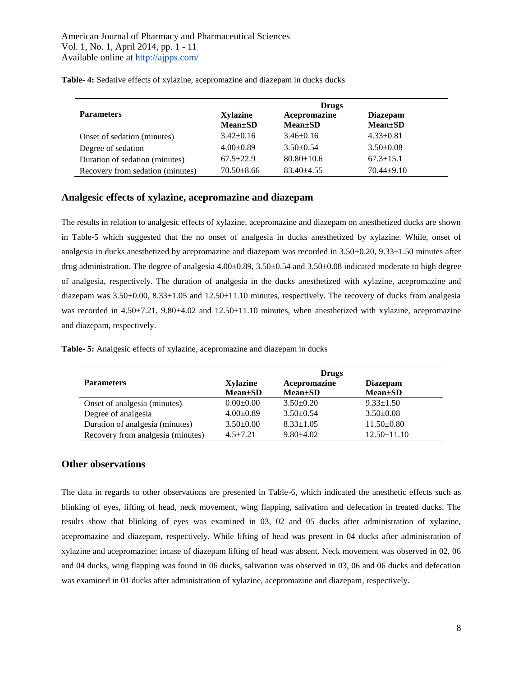|                                  | <b>Drugs</b>                     |                               |                                    |  |
|----------------------------------|----------------------------------|-------------------------------|------------------------------------|--|
| <b>Parameters</b>                | <b>Xylazine</b><br>$Mean \pm SD$ | Acepromazine<br>$Mean \pm SD$ | <b>Diazepam</b><br><b>Mean</b> ±SD |  |
| Onset of sedation (minutes)      | $3.42 \pm 0.16$                  | $3.46 \pm 0.16$               | $4.33 \pm 0.81$                    |  |
| Degree of sedation               | $4.00\pm0.89$                    | $3.50 \pm 0.54$               | $3.50 \pm 0.08$                    |  |
| Duration of sedation (minutes)   | $67.5 + 22.9$                    | $80.80 \pm 10.6$              | $67.3 \pm 15.1$                    |  |
| Recovery from sedation (minutes) | $70.50 \pm 8.66$                 | $83.40 + 4.55$                | $70.44 + 9.10$                     |  |

**Table- 4:** Sedative effects of xylazine, acepromazine and diazepam in ducks ducks

#### **Analgesic effects of xylazine, acepromazine and diazepam**

The results in relation to analgesic effects of xylazine, acepromazine and diazepam on anesthetized ducks are shown in Table-5 which suggested that the no onset of analgesia in ducks anesthetized by xylazine. While, onset of analgesia in ducks anesthetized by acepromazine and diazepam was recorded in 3.50±0.20, 9.33±1.50 minutes after drug administration. The degree of analgesia 4.00±0.89, 3.50±0.54 and 3.50±0.08 indicated moderate to high degree of analgesia, respectively. The duration of analgesia in the ducks anesthetized with xylazine, acepromazine and diazepam was 3.50±0.00, 8.33±1.05 and 12.50±11.10 minutes, respectively. The recovery of ducks from analgesia was recorded in  $4.50\pm7.21$ ,  $9.80\pm4.02$  and  $12.50\pm11.10$  minutes, when anesthetized with xylazine, acepromazine and diazepam, respectively.

|  |  |  | Table- 5: Analgesic effects of xylazine, acepromazine and diazepam in ducks |
|--|--|--|-----------------------------------------------------------------------------|
|  |  |  |                                                                             |

|                                   | <b>Drugs</b>    |                 |                   |  |
|-----------------------------------|-----------------|-----------------|-------------------|--|
| <b>Parameters</b>                 | <b>Xylazine</b> | Acepromazine    | <b>Diazepam</b>   |  |
|                                   | $Mean \pm SD$   | $Mean \pm SD$   | $Mean \pm SD$     |  |
| Onset of analgesia (minutes)      | $0.00 \pm 0.00$ | $3.50+0.20$     | $9.33 \pm 1.50$   |  |
| Degree of analgesia               | $4.00 \pm 0.89$ | $3.50+0.54$     | $3.50 \pm 0.08$   |  |
| Duration of analgesia (minutes)   | $3.50\pm0.00$   | $8.33 \pm 1.05$ | $11.50 \pm 0.80$  |  |
| Recovery from analgesia (minutes) | $4.5 + 7.21$    | $9.80 \pm 4.02$ | $12.50 \pm 11.10$ |  |

#### **Other observations**

The data in regards to other observations are presented in Table-6, which indicated the anesthetic effects such as blinking of eyes, lifting of head, neck movement, wing flapping, salivation and defecation in treated ducks. The results show that blinking of eyes was examined in 03, 02 and 05 ducks after administration of xylazine, acepromazine and diazepam, respectively. While lifting of head was present in 04 ducks after administration of xylazine and acepromazine; incase of diazepam lifting of head was absent. Neck movement was observed in 02, 06 and 04 ducks, wing flapping was found in 06 ducks, salivation was observed in 03, 06 and 06 ducks and defecation was examined in 01 ducks after administration of xylazine, acepromazine and diazepam, respectively.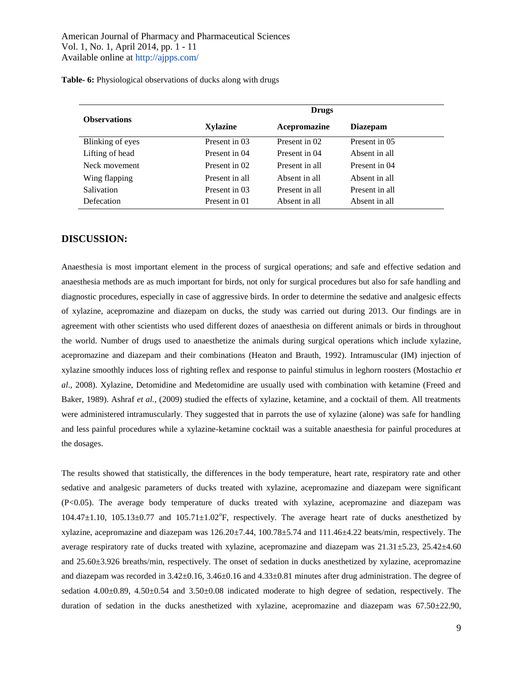**Table- 6:** Physiological observations of ducks along with drugs

|                     | <b>Drugs</b>    |                |                 |  |
|---------------------|-----------------|----------------|-----------------|--|
| <b>Observations</b> | <b>Xylazine</b> | Acepromazine   | <b>Diazepam</b> |  |
| Blinking of eyes    | Present in 03   | Present in 02  | Present in 05   |  |
| Lifting of head     | Present in 04   | Present in 04  | Absent in all   |  |
| Neck movement       | Present in 02   | Present in all | Present in 04   |  |
| Wing flapping       | Present in all  | Absent in all  | Absent in all   |  |
| <b>Salivation</b>   | Present in 03   | Present in all | Present in all  |  |
| Defecation          | Present in 01   | Absent in all  | Absent in all   |  |

#### **DISCUSSION:**

Anaesthesia is most important element in the process of surgical operations; and safe and effective sedation and anaesthesia methods are as much important for birds, not only for surgical procedures but also for safe handling and diagnostic procedures, especially in case of aggressive birds. In order to determine the sedative and analgesic effects of xylazine, acepromazine and diazepam on ducks, the study was carried out during 2013. Our findings are in agreement with other scientists who used different dozes of anaesthesia on different animals or birds in throughout the world. Number of drugs used to anaesthetize the animals during surgical operations which include xylazine, acepromazine and diazepam and their combinations (Heaton and Brauth, 1992). Intramuscular (IM) injection of xylazine smoothly induces loss of righting reflex and response to painful stimulus in leghorn roosters (Mostachio *et al*., 2008). Xylazine, Detomidine and Medetomidine are usually used with combination with ketamine (Freed and Baker, 1989). Ashraf *et al.,* (2009) studied the effects of xylazine, ketamine, and a cocktail of them. All treatments were administered intramuscularly. They suggested that in parrots the use of xylazine (alone) was safe for handling and less painful procedures while a xylazine-ketamine cocktail was a suitable anaesthesia for painful procedures at the dosages.

The results showed that statistically, the differences in the body temperature, heart rate, respiratory rate and other sedative and analgesic parameters of ducks treated with xylazine, acepromazine and diazepam were significant (P<0.05). The average body temperature of ducks treated with xylazine, acepromazine and diazepam was  $104.47 \pm 1.10$ ,  $105.13 \pm 0.77$  and  $105.71 \pm 1.02$ °F, respectively. The average heart rate of ducks anesthetized by xylazine, acepromazine and diazepam was 126.20±7.44, 100.78±5.74 and 111.46±4.22 beats/min, respectively. The average respiratory rate of ducks treated with xylazine, acepromazine and diazepam was 21.31±5.23, 25.42±4.60 and 25.60±3.926 breaths/min, respectively. The onset of sedation in ducks anesthetized by xylazine, acepromazine and diazepam was recorded in 3.42±0.16, 3.46±0.16 and 4.33±0.81 minutes after drug administration. The degree of sedation  $4.00\pm0.89$ ,  $4.50\pm0.54$  and  $3.50\pm0.08$  indicated moderate to high degree of sedation, respectively. The duration of sedation in the ducks anesthetized with xylazine, acepromazine and diazepam was 67.50±22.90,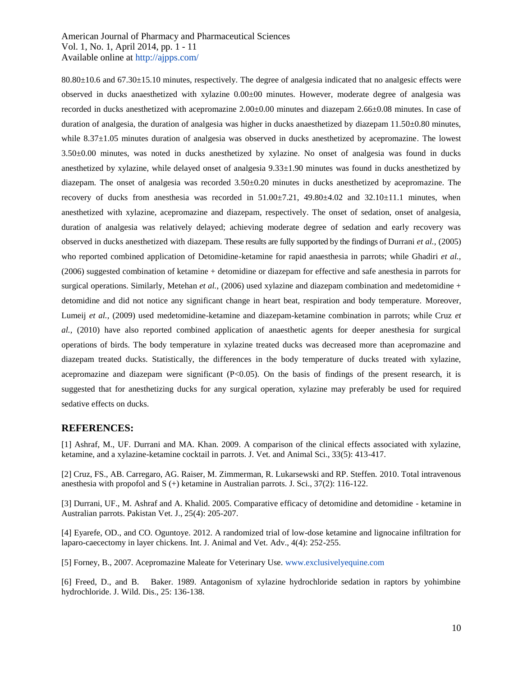80.80±10.6 and 67.30±15.10 minutes, respectively. The degree of analgesia indicated that no analgesic effects were observed in ducks anaesthetized with xylazine 0.00±00 minutes. However, moderate degree of analgesia was recorded in ducks anesthetized with acepromazine 2.00±0.00 minutes and diazepam 2.66±0.08 minutes. In case of duration of analgesia, the duration of analgesia was higher in ducks anaesthetized by diazepam  $11.50\pm0.80$  minutes, while 8.37±1.05 minutes duration of analgesia was observed in ducks anesthetized by acepromazine. The lowest 3.50±0.00 minutes, was noted in ducks anesthetized by xylazine. No onset of analgesia was found in ducks anesthetized by xylazine, while delayed onset of analgesia 9.33±1.90 minutes was found in ducks anesthetized by diazepam. The onset of analgesia was recorded 3.50±0.20 minutes in ducks anesthetized by acepromazine. The recovery of ducks from anesthesia was recorded in 51.00±7.21, 49.80±4.02 and 32.10±11.1 minutes, when anesthetized with xylazine, acepromazine and diazepam, respectively. The onset of sedation, onset of analgesia, duration of analgesia was relatively delayed; achieving moderate degree of sedation and early recovery was observed in ducks anesthetized with diazepam. These results are fully supported by the findings of Durrani *et al.,* (2005) who reported combined application of Detomidine-ketamine for rapid anaesthesia in parrots; while Ghadiri *et al.*, (2006) suggested combination of ketamine + detomidine or diazepam for effective and safe anesthesia in parrots for surgical operations. Similarly, Metehan *et al.*, (2006) used xylazine and diazepam combination and medetomidine + detomidine and did not notice any significant change in heart beat, respiration and body temperature. Moreover, Lumeij *et al.,* (2009) used medetomidine-ketamine and diazepam-ketamine combination in parrots; while Cruz *et al.,* (2010) have also reported combined application of anaesthetic agents for deeper anesthesia for surgical operations of birds. The body temperature in xylazine treated ducks was decreased more than acepromazine and diazepam treated ducks. Statistically, the differences in the body temperature of ducks treated with xylazine, acepromazine and diazepam were significant (P<0.05). On the basis of findings of the present research, it is suggested that for anesthetizing ducks for any surgical operation, xylazine may preferably be used for required sedative effects on ducks.

#### **REFERENCES:**

[1] Ashraf, M., UF. Durrani and MA. Khan. 2009. A comparison of the clinical effects associated with xylazine, ketamine, and a xylazine-ketamine cocktail in parrots. J. Vet. and Animal Sci., 33(5): 413-417.

[2] Cruz, FS., AB. Carregaro, AG. Raiser, M. Zimmerman, R. Lukarsewski and RP. Steffen. 2010. Total intravenous anesthesia with propofol and S (+) ketamine in Australian parrots. J. Sci., 37(2): 116-122.

[3] Durrani, UF., M. Ashraf and A. Khalid. 2005. Comparative efficacy of detomidine and detomidine - ketamine in Australian parrots. Pakistan Vet. J., 25(4): 205-207.

[4] Eyarefe, OD., and CO. Oguntoye. 2012. A randomized trial of low-dose ketamine and lignocaine infiltration for laparo-caecectomy in layer chickens. Int. J. Animal and Vet. Adv., 4(4): 252-255.

[5] Forney, B., 2007. Acepromazine Maleate for Veterinary Use. [www.exclusivelyequine.com](http://www.exclusivelyequine.com/)

[6] Freed, D., and B. Baker. 1989. Antagonism of xylazine hydrochloride sedation in raptors by yohimbine hydrochloride. J. Wild. Dis., 25: 136-138.